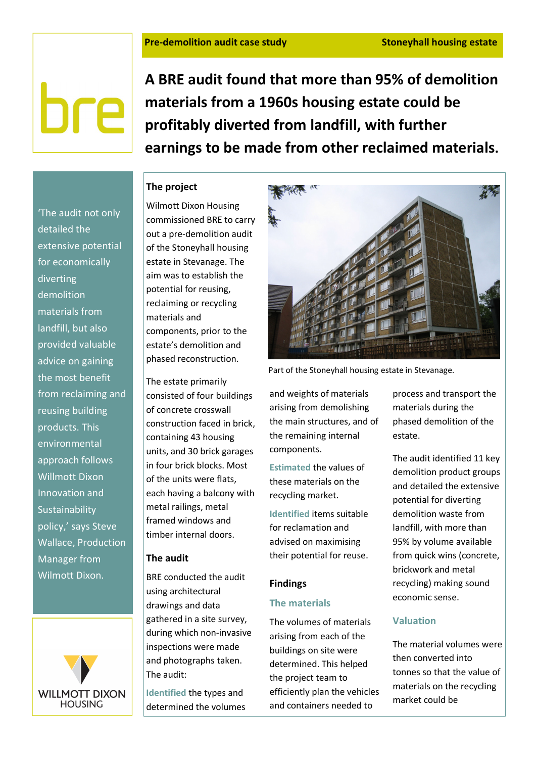# bre

A BRE audit found that more than 95% of demolition materials from a 1960s housing estate could be profitably diverted from landfill, with further earnings to be made from other reclaimed materials.

# The project

Wilmott Dixon Housing commissioned BRE to carry out a pre-demolition audit of the Stoneyhall housing estate in Stevanage. The aim was to establish the potential for reusing, reclaiming or recycling materials and components, prior to the estate's demolition and phased reconstruction.

The estate primarily consisted of four buildings of concrete crosswall construction faced in brick, containing 43 housing units, and 30 brick garages in four brick blocks. Most of the units were flats, each having a balcony with metal railings, metal framed windows and timber internal doors.

### The audit

BRE conducted the audit using architectural drawings and data gathered in a site survey, during which non-invasive inspections were made and photographs taken. The audit:

Identified the types and determined the volumes



Part of the Stoneyhall housing estate in Stevanage.

and weights of materials arising from demolishing the main structures, and of the remaining internal components.

Estimated the values of these materials on the recycling market.

Identified items suitable for reclamation and advised on maximising their potential for reuse.

### Findings

### The materials

The volumes of materials arising from each of the buildings on site were determined. This helped the project team to efficiently plan the vehicles and containers needed to

process and transport the materials during the phased demolition of the estate.

The audit identified 11 key demolition product groups and detailed the extensive potential for diverting demolition waste from landfill, with more than 95% by volume available from quick wins (concrete, brickwork and metal recycling) making sound economic sense.

## Valuation

The material volumes were then converted into tonnes so that the value of materials on the recycling market could be

'The audit not only detailed the extensive potential for economically diverting demolition materials from landfill, but also provided valuable advice on gaining the most benefit from reclaiming and reusing building products. This environmental approach follows Willmott Dixon Innovation and Sustainability policy,' says Steve Wallace, Production Manager from Wilmott Dixon.